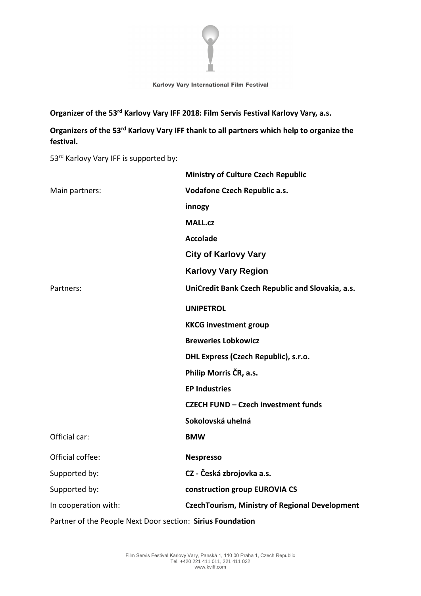

Organizer of the 53<sup>rd</sup> Karlovy Vary IFF 2018: Film Servis Festival Karlovy Vary, a.s.

Organizers of the 53<sup>rd</sup> Karlovy Vary IFF thank to all partners which help to organize the **festival.**

53<sup>rd</sup> Karlovy Vary IFF is supported by:

|                      | <b>Ministry of Culture Czech Republic</b>             |
|----------------------|-------------------------------------------------------|
| Main partners:       | <b>Vodafone Czech Republic a.s.</b>                   |
|                      | innogy                                                |
|                      | <b>MALL.cz</b>                                        |
|                      | <b>Accolade</b>                                       |
|                      | <b>City of Karlovy Vary</b>                           |
|                      | <b>Karlovy Vary Region</b>                            |
| Partners:            | UniCredit Bank Czech Republic and Slovakia, a.s.      |
|                      | <b>UNIPETROL</b>                                      |
|                      | <b>KKCG investment group</b>                          |
|                      | <b>Breweries Lobkowicz</b>                            |
|                      | DHL Express (Czech Republic), s.r.o.                  |
|                      | Philip Morris ČR, a.s.                                |
|                      | <b>EP Industries</b>                                  |
|                      | <b>CZECH FUND - Czech investment funds</b>            |
|                      | Sokolovská uhelná                                     |
| Official car:        | <b>BMW</b>                                            |
| Official coffee:     | <b>Nespresso</b>                                      |
| Supported by:        | CZ - Česká zbrojovka a.s.                             |
| Supported by:        | construction group EUROVIA CS                         |
| In cooperation with: | <b>CzechTourism, Ministry of Regional Development</b> |
|                      |                                                       |

Partner of the People Next Door section: **Sirius Foundation**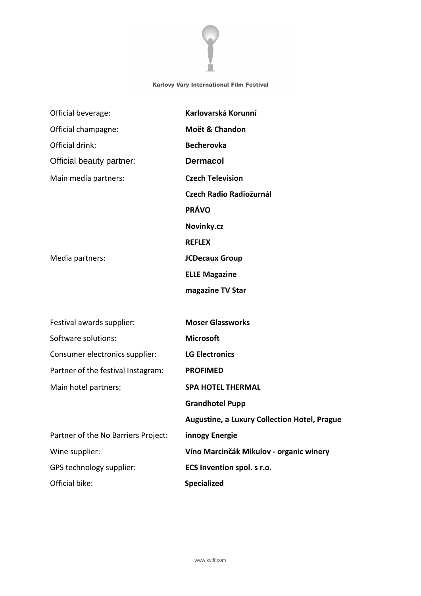

| Official beverage:                  | Karlovarská Korunní                                 |
|-------------------------------------|-----------------------------------------------------|
| Official champagne:                 | Moët & Chandon                                      |
| Official drink:                     | <b>Becherovka</b>                                   |
| Official beauty partner:            | <b>Dermacol</b>                                     |
| Main media partners:                | <b>Czech Television</b>                             |
|                                     | <b>Czech Radio Radiožurnál</b>                      |
|                                     | <b>PRÁVO</b>                                        |
|                                     | Novinky.cz                                          |
|                                     | <b>REFLEX</b>                                       |
| Media partners:                     | <b>JCDecaux Group</b>                               |
|                                     | <b>ELLE Magazine</b>                                |
|                                     | magazine TV Star                                    |
|                                     |                                                     |
| Festival awards supplier:           | <b>Moser Glassworks</b>                             |
| Software solutions:                 | <b>Microsoft</b>                                    |
| Consumer electronics supplier:      | <b>LG Electronics</b>                               |
| Partner of the festival Instagram:  | <b>PROFIMED</b>                                     |
| Main hotel partners:                | <b>SPA HOTEL THERMAL</b>                            |
|                                     | <b>Grandhotel Pupp</b>                              |
|                                     | <b>Augustine, a Luxury Collection Hotel, Prague</b> |
| Partner of the No Barriers Project: | innogy Energie                                      |
| Wine supplier:                      | Víno Marcinčák Mikulov - organic winery             |
| GPS technology supplier:            | ECS Invention spol. s r.o.                          |
| Official bike:                      | Specialized                                         |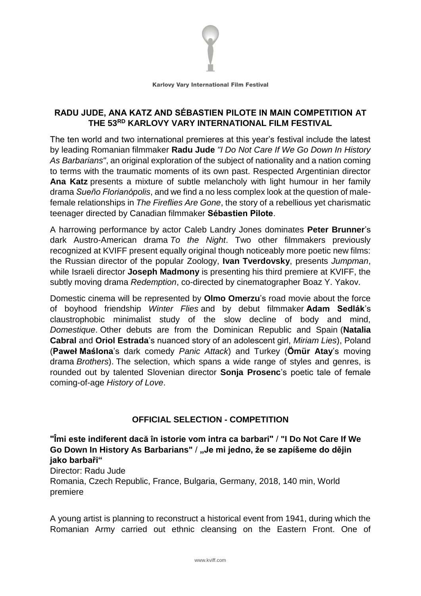

# **RADU JUDE, ANA KATZ AND SÉBASTIEN PILOTE IN MAIN COMPETITION AT THE 53RD KARLOVY VARY INTERNATIONAL FILM FESTIVAL**

The ten world and two international premieres at this year's festival include the latest by leading Romanian filmmaker **Radu Jude** *"I Do Not Care If We Go Down In History As Barbarians"*, an original exploration of the subject of nationality and a nation coming to terms with the traumatic moments of its own past. Respected Argentinian director **Ana Katz** presents a mixture of subtle melancholy with light humour in her family drama *Sueño Florianópolis*, and we find a no less complex look at the question of malefemale relationships in *The Fireflies Are Gone*, the story of a rebellious yet charismatic teenager directed by Canadian filmmaker **Sébastien Pilote**.

A harrowing performance by actor Caleb Landry Jones dominates **Peter Brunner**'s dark Austro-American drama *To the Night*. Two other filmmakers previously recognized at KVIFF present equally original though noticeably more poetic new films: the Russian director of the popular Zoology, **Ivan Tverdovsky**, presents *Jumpman*, while Israeli director **Joseph Madmony** is presenting his third premiere at KVIFF, the subtly moving drama *Redemption*, co-directed by cinematographer Boaz Y. Yakov.

Domestic cinema will be represented by **Olmo Omerzu**'s road movie about the force of boyhood friendship *Winter Flies* and by debut filmmaker **Adam Sedlák**'s claustrophobic minimalist study of the slow decline of body and mind, *Domestique*. Other debuts are from the Dominican Republic and Spain (**Natalia Cabral** and **Oriol Estrada**'s nuanced story of an adolescent girl, *Miriam Lies*), Poland (**Paweł Maślona**'s dark comedy *Panic Attack*) and Turkey (**Ömür Atay**'s moving drama *Brothers*). The selection, which spans a wide range of styles and genres, is rounded out by talented Slovenian director **Sonja Prosenc**'s poetic tale of female coming-of-age *History of Love*.

# **OFFICIAL SELECTION - COMPETITION**

**"Îmi este indiferent dacă în istorie vom intra ca barbari"** / **"I Do Not Care If We Go Down In History As Barbarians"** / **"Je mi jedno, že se zapíšeme do dějin jako barbaři"**

Director: Radu Jude Romania, Czech Republic, France, Bulgaria, Germany, 2018, 140 min, World premiere

A young artist is planning to reconstruct a historical event from 1941, during which the Romanian Army carried out ethnic cleansing on the Eastern Front. One of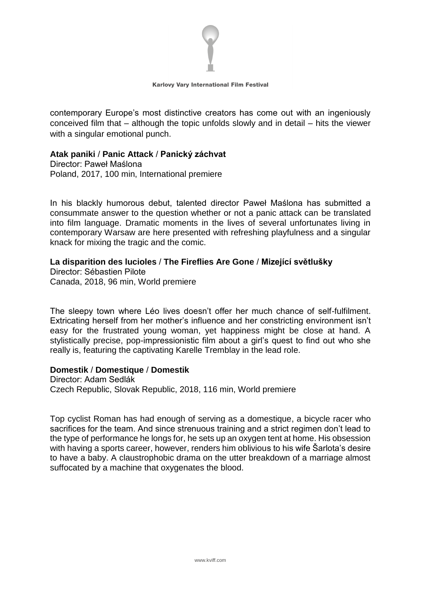

contemporary Europe's most distinctive creators has come out with an ingeniously conceived film that – although the topic unfolds slowly and in detail – hits the viewer with a singular emotional punch.

### **Atak paniki** / **Panic Attack** / **Panický záchvat**

Director: Paweł Maślona Poland, 2017, 100 min, International premiere

In his blackly humorous debut, talented director Paweł Maślona has submitted a consummate answer to the question whether or not a panic attack can be translated into film language. Dramatic moments in the lives of several unfortunates living in contemporary Warsaw are here presented with refreshing playfulness and a singular knack for mixing the tragic and the comic.

### **La disparition des lucioles** / **The Fireflies Are Gone** / **Mizející světlušky**

Director: Sébastien Pilote Canada, 2018, 96 min, World premiere

The sleepy town where Léo lives doesn't offer her much chance of self-fulfilment. Extricating herself from her mother's influence and her constricting environment isn't easy for the frustrated young woman, yet happiness might be close at hand. A stylistically precise, pop-impressionistic film about a girl's quest to find out who she really is, featuring the captivating Karelle Tremblay in the lead role.

#### **Domestik** / **Domestique** / **Domestik**

Director: Adam Sedlák Czech Republic, Slovak Republic, 2018, 116 min, World premiere

Top cyclist Roman has had enough of serving as a domestique, a bicycle racer who sacrifices for the team. And since strenuous training and a strict regimen don't lead to the type of performance he longs for, he sets up an oxygen tent at home. His obsession with having a sports career, however, renders him oblivious to his wife Šarlota's desire to have a baby. A claustrophobic drama on the utter breakdown of a marriage almost suffocated by a machine that oxygenates the blood.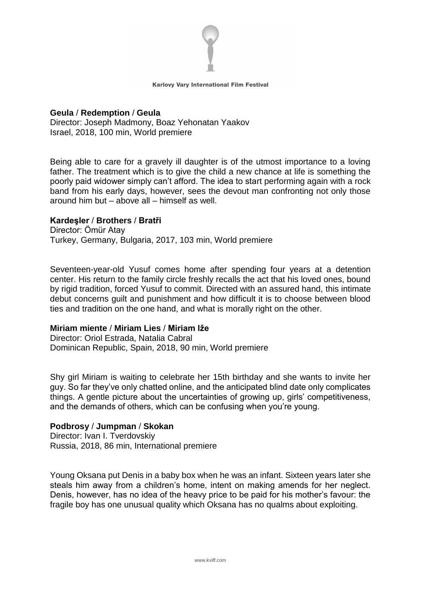

#### **Geula** / **Redemption** / **Geula** Director: Joseph Madmony, Boaz Yehonatan Yaakov Israel, 2018, 100 min, World premiere

Being able to care for a gravely ill daughter is of the utmost importance to a loving father. The treatment which is to give the child a new chance at life is something the poorly paid widower simply can't afford. The idea to start performing again with a rock band from his early days, however, sees the devout man confronting not only those around him but – above all – himself as well.

# **Kardeşler** / **Brothers** / **Bratři**

Director: Ömür Atay Turkey, Germany, Bulgaria, 2017, 103 min, World premiere

Seventeen-year-old Yusuf comes home after spending four years at a detention center. His return to the family circle freshly recalls the act that his loved ones, bound by rigid tradition, forced Yusuf to commit. Directed with an assured hand, this intimate debut concerns guilt and punishment and how difficult it is to choose between blood ties and tradition on the one hand, and what is morally right on the other.

# **Miriam miente** / **Miriam Lies** / **Miriam lže**

Director: Oriol Estrada, Natalia Cabral Dominican Republic, Spain, 2018, 90 min, World premiere

Shy girl Miriam is waiting to celebrate her 15th birthday and she wants to invite her guy. So far they've only chatted online, and the anticipated blind date only complicates things. A gentle picture about the uncertainties of growing up, girls' competitiveness, and the demands of others, which can be confusing when you're young.

# **Podbrosy** / **Jumpman** / **Skokan**

Director: Ivan I. Tverdovskiy Russia, 2018, 86 min, International premiere

Young Oksana put Denis in a baby box when he was an infant. Sixteen years later she steals him away from a children's home, intent on making amends for her neglect. Denis, however, has no idea of the heavy price to be paid for his mother's favour: the fragile boy has one unusual quality which Oksana has no qualms about exploiting.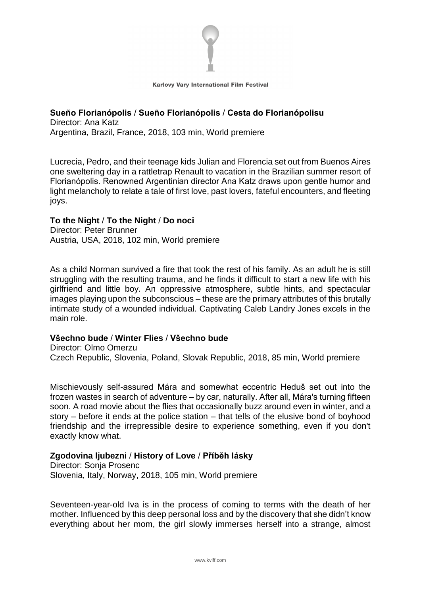

#### **Sueño Florianópolis** / **Sueño Florianópolis** / **Cesta do Florianópolisu** Director: Ana Katz

Argentina, Brazil, France, 2018, 103 min, World premiere

Lucrecia, Pedro, and their teenage kids Julian and Florencia set out from Buenos Aires one sweltering day in a rattletrap Renault to vacation in the Brazilian summer resort of Florianópolis. Renowned Argentinian director Ana Katz draws upon gentle humor and light melancholy to relate a tale of first love, past lovers, fateful encounters, and fleeting joys.

# **To the Night** / **To the Night** / **Do noci**

Director: Peter Brunner Austria, USA, 2018, 102 min, World premiere

As a child Norman survived a fire that took the rest of his family. As an adult he is still struggling with the resulting trauma, and he finds it difficult to start a new life with his girlfriend and little boy. An oppressive atmosphere, subtle hints, and spectacular images playing upon the subconscious – these are the primary attributes of this brutally intimate study of a wounded individual. Captivating Caleb Landry Jones excels in the main role.

#### **Všechno bude** / **Winter Flies** / **Všechno bude**

Director: Olmo Omerzu Czech Republic, Slovenia, Poland, Slovak Republic, 2018, 85 min, World premiere

Mischievously self-assured Mára and somewhat eccentric Heduš set out into the frozen wastes in search of adventure – by car, naturally. After all, Mára's turning fifteen soon. A road movie about the flies that occasionally buzz around even in winter, and a story – before it ends at the police station – that tells of the elusive bond of boyhood friendship and the irrepressible desire to experience something, even if you don't exactly know what.

# **Zgodovina ljubezni** / **History of Love** / **Příběh lásky**

Director: Sonja Prosenc Slovenia, Italy, Norway, 2018, 105 min, World premiere

Seventeen-year-old Iva is in the process of coming to terms with the death of her mother. Influenced by this deep personal loss and by the discovery that she didn't know everything about her mom, the girl slowly immerses herself into a strange, almost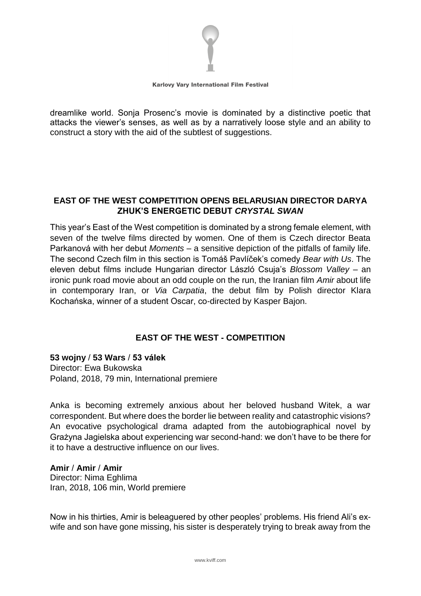

dreamlike world. Sonja Prosenc's movie is dominated by a distinctive poetic that attacks the viewer's senses, as well as by a narratively loose style and an ability to construct a story with the aid of the subtlest of suggestions.

# **EAST OF THE WEST COMPETITION OPENS BELARUSIAN DIRECTOR DARYA ZHUK'S ENERGETIC DEBUT** *CRYSTAL SWAN*

This year's East of the West competition is dominated by a strong female element, with seven of the twelve films directed by women. One of them is Czech director Beata Parkanová with her debut *Moments* – a sensitive depiction of the pitfalls of family life. The second Czech film in this section is Tomáš Pavlíček's comedy *Bear with Us*. The eleven debut films include Hungarian director László Csuja's *Blossom Valley* – an ironic punk road movie about an odd couple on the run, the Iranian film *Amir* about life in contemporary Iran, or *Via Carpatia*, the debut film by Polish director Klara Kochańska, winner of a student Oscar, co-directed by Kasper Bajon.

# **EAST OF THE WEST - COMPETITION**

**53 wojny** / **53 Wars** / **53 válek** Director: Ewa Bukowska Poland, 2018, 79 min, International premiere

Anka is becoming extremely anxious about her beloved husband Witek, a war correspondent. But where does the border lie between reality and catastrophic visions? An evocative psychological drama adapted from the autobiographical novel by Grażyna Jagielska about experiencing war second-hand: we don't have to be there for it to have a destructive influence on our lives.

#### **Amir** / **Amir** / **Amir**

Director: Nima Eghlima Iran, 2018, 106 min, World premiere

Now in his thirties, Amir is beleaguered by other peoples' problems. His friend Ali's exwife and son have gone missing, his sister is desperately trying to break away from the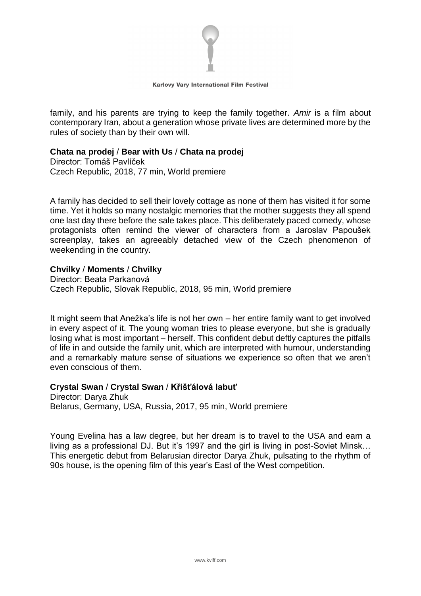

family, and his parents are trying to keep the family together. *Amir* is a film about contemporary Iran, about a generation whose private lives are determined more by the rules of society than by their own will.

### **Chata na prodej** / **Bear with Us** / **Chata na prodej**

Director: Tomáš Pavlíček Czech Republic, 2018, 77 min, World premiere

A family has decided to sell their lovely cottage as none of them has visited it for some time. Yet it holds so many nostalgic memories that the mother suggests they all spend one last day there before the sale takes place. This deliberately paced comedy, whose protagonists often remind the viewer of characters from a Jaroslav Papoušek screenplay, takes an agreeably detached view of the Czech phenomenon of weekending in the country.

### **Chvilky** / **Moments** / **Chvilky**

Director: Beata Parkanová Czech Republic, Slovak Republic, 2018, 95 min, World premiere

It might seem that Anežka's life is not her own – her entire family want to get involved in every aspect of it. The young woman tries to please everyone, but she is gradually losing what is most important – herself. This confident debut deftly captures the pitfalls of life in and outside the family unit, which are interpreted with humour, understanding and a remarkably mature sense of situations we experience so often that we aren't even conscious of them.

# **Crystal Swan** / **Crystal Swan** / **Křišťálová labuť**

Director: Darya Zhuk Belarus, Germany, USA, Russia, 2017, 95 min, World premiere

Young Evelina has a law degree, but her dream is to travel to the USA and earn a living as a professional DJ. But it's 1997 and the girl is living in post-Soviet Minsk… This energetic debut from Belarusian director Darya Zhuk, pulsating to the rhythm of 90s house, is the opening film of this year's East of the West competition.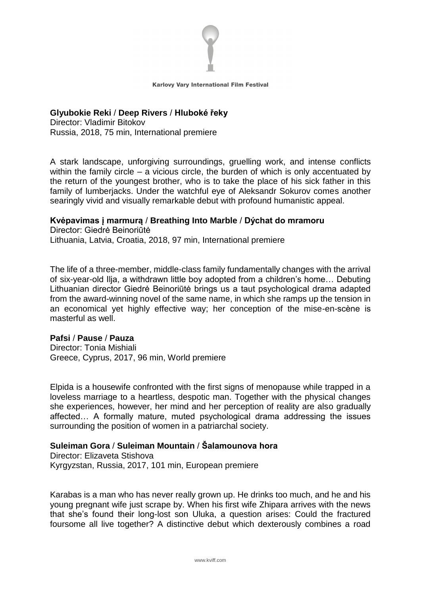

### **Glyubokie Reki** / **Deep Rivers** / **Hluboké řeky**

Director: Vladimir Bitokov Russia, 2018, 75 min, International premiere

A stark landscape, unforgiving surroundings, gruelling work, and intense conflicts within the family circle – a vicious circle, the burden of which is only accentuated by the return of the youngest brother, who is to take the place of his sick father in this family of lumberjacks. Under the watchful eye of Aleksandr Sokurov comes another searingly vivid and visually remarkable debut with profound humanistic appeal.

### **Kvėpavimas į marmurą** / **Breathing Into Marble** / **Dýchat do mramoru**

Director: Giedrė Beinoriūtė Lithuania, Latvia, Croatia, 2018, 97 min, International premiere

The life of a three-member, middle-class family fundamentally changes with the arrival of six-year-old Ilja, a withdrawn little boy adopted from a children's home… Debuting Lithuanian director Giedrė Beinoriūtė brings us a taut psychological drama adapted from the award-winning novel of the same name, in which she ramps up the tension in an economical yet highly effective way; her conception of the mise-en-scène is masterful as well.

### **Pafsi** / **Pause** / **Pauza**

Director: Tonia Mishiali Greece, Cyprus, 2017, 96 min, World premiere

Elpida is a housewife confronted with the first signs of menopause while trapped in a loveless marriage to a heartless, despotic man. Together with the physical changes she experiences, however, her mind and her perception of reality are also gradually affected… A formally mature, muted psychological drama addressing the issues surrounding the position of women in a patriarchal society.

# **Suleiman Gora** / **Suleiman Mountain** / **Šalamounova hora**

Director: Elizaveta Stishova Kyrgyzstan, Russia, 2017, 101 min, European premiere

Karabas is a man who has never really grown up. He drinks too much, and he and his young pregnant wife just scrape by. When his first wife Zhipara arrives with the news that she's found their long-lost son Uluka, a question arises: Could the fractured foursome all live together? A distinctive debut which dexterously combines a road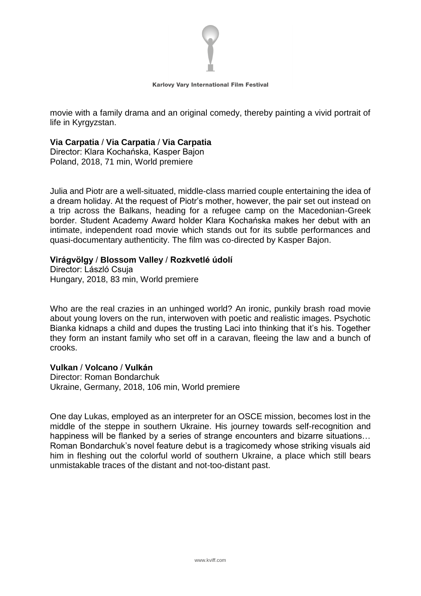

movie with a family drama and an original comedy, thereby painting a vivid portrait of life in Kyrgyzstan.

#### **Via Carpatia** / **Via Carpatia** / **Via Carpatia**

Director: Klara Kochańska, Kasper Bajon Poland, 2018, 71 min, World premiere

Julia and Piotr are a well-situated, middle-class married couple entertaining the idea of a dream holiday. At the request of Piotr's mother, however, the pair set out instead on a trip across the Balkans, heading for a refugee camp on the Macedonian-Greek border. Student Academy Award holder Klara Kochańska makes her debut with an intimate, independent road movie which stands out for its subtle performances and quasi-documentary authenticity. The film was co-directed by Kasper Bajon.

#### **Virágvölgy** / **Blossom Valley** / **Rozkvetlé údolí**

Director: László Csuja Hungary, 2018, 83 min, World premiere

Who are the real crazies in an unhinged world? An ironic, punkily brash road movie about young lovers on the run, interwoven with poetic and realistic images. Psychotic Bianka kidnaps a child and dupes the trusting Laci into thinking that it's his. Together they form an instant family who set off in a caravan, fleeing the law and a bunch of crooks.

#### **Vulkan** / **Volcano** / **Vulkán**

Director: Roman Bondarchuk Ukraine, Germany, 2018, 106 min, World premiere

One day Lukas, employed as an interpreter for an OSCE mission, becomes lost in the middle of the steppe in southern Ukraine. His journey towards self-recognition and happiness will be flanked by a series of strange encounters and bizarre situations… Roman Bondarchuk's novel feature debut is a tragicomedy whose striking visuals aid him in fleshing out the colorful world of southern Ukraine, a place which still bears unmistakable traces of the distant and not-too-distant past.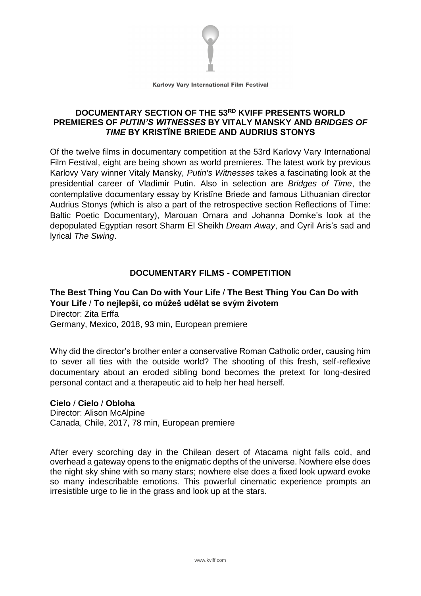

# **DOCUMENTARY SECTION OF THE 53RD KVIFF PRESENTS WORLD PREMIERES OF** *PUTIN'S WITNESSES* **BY VITALY MANSKY AND** *BRIDGES OF TIME* **BY KRISTÏNE BRIEDE AND AUDRIUS STONYS**

Of the twelve films in documentary competition at the 53rd Karlovy Vary International Film Festival, eight are being shown as world premieres. The latest work by previous Karlovy Vary winner Vitaly Mansky, *Putin's Witnesses* takes a fascinating look at the presidential career of Vladimir Putin. Also in selection are *Bridges of Time*, the contemplative documentary essay by Kristīne Briede and famous Lithuanian director Audrius Stonys (which is also a part of the retrospective section Reflections of Time: Baltic Poetic Documentary), Marouan Omara and Johanna Domke's look at the depopulated Egyptian resort Sharm El Sheikh *Dream Away*, and Cyril Aris's sad and lyrical *The Swing*.

# **DOCUMENTARY FILMS - COMPETITION**

# **The Best Thing You Can Do with Your Life** / **The Best Thing You Can Do with Your Life** / **To nejlepší, co můžeš udělat se svým životem** Director: Zita Erffa

Germany, Mexico, 2018, 93 min, European premiere

Why did the director's brother enter a conservative Roman Catholic order, causing him to sever all ties with the outside world? The shooting of this fresh, self-reflexive documentary about an eroded sibling bond becomes the pretext for long-desired personal contact and a therapeutic aid to help her heal herself.

# **Cielo** / **Cielo** / **Obloha**

Director: Alison McAlpine Canada, Chile, 2017, 78 min, European premiere

After every scorching day in the Chilean desert of Atacama night falls cold, and overhead a gateway opens to the enigmatic depths of the universe. Nowhere else does the night sky shine with so many stars; nowhere else does a fixed look upward evoke so many indescribable emotions. This powerful cinematic experience prompts an irresistible urge to lie in the grass and look up at the stars.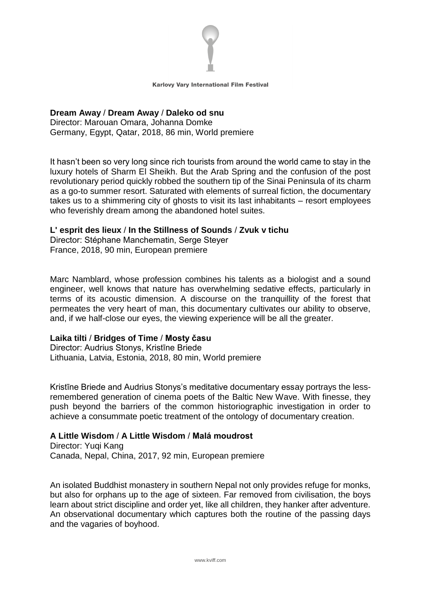

# **Dream Away** / **Dream Away** / **Daleko od snu**

Director: Marouan Omara, Johanna Domke Germany, Egypt, Qatar, 2018, 86 min, World premiere

It hasn't been so very long since rich tourists from around the world came to stay in the luxury hotels of Sharm El Sheikh. But the Arab Spring and the confusion of the post revolutionary period quickly robbed the southern tip of the Sinai Peninsula of its charm as a go-to summer resort. Saturated with elements of surreal fiction, the documentary takes us to a shimmering city of ghosts to visit its last inhabitants – resort employees who feverishly dream among the abandoned hotel suites.

### **L' esprit des lieux** / **In the Stillness of Sounds** / **Zvuk v tichu**

Director: Stéphane Manchematin, Serge Steyer France, 2018, 90 min, European premiere

Marc Namblard, whose profession combines his talents as a biologist and a sound engineer, well knows that nature has overwhelming sedative effects, particularly in terms of its acoustic dimension. A discourse on the tranquillity of the forest that permeates the very heart of man, this documentary cultivates our ability to observe, and, if we half-close our eyes, the viewing experience will be all the greater.

# **Laika tilti** / **Bridges of Time** / **Mosty času**

Director: Audrius Stonys, Kristīne Briede Lithuania, Latvia, Estonia, 2018, 80 min, World premiere

Kristīne Briede and Audrius Stonys's meditative documentary essay portrays the lessremembered generation of cinema poets of the Baltic New Wave. With finesse, they push beyond the barriers of the common historiographic investigation in order to achieve a consummate poetic treatment of the ontology of documentary creation.

# **A Little Wisdom** / **A Little Wisdom** / **Malá moudrost**

Director: Yuqi Kang Canada, Nepal, China, 2017, 92 min, European premiere

An isolated Buddhist monastery in southern Nepal not only provides refuge for monks, but also for orphans up to the age of sixteen. Far removed from civilisation, the boys learn about strict discipline and order yet, like all children, they hanker after adventure. An observational documentary which captures both the routine of the passing days and the vagaries of boyhood.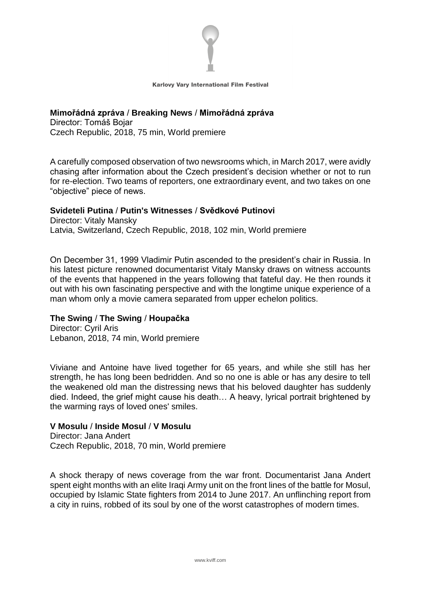

# **Mimořádná zpráva** / **Breaking News** / **Mimořádná zpráva**

Director: Tomáš Bojar Czech Republic, 2018, 75 min, World premiere

A carefully composed observation of two newsrooms which, in March 2017, were avidly chasing after information about the Czech president's decision whether or not to run for re-election. Two teams of reporters, one extraordinary event, and two takes on one "objective" piece of news.

### **Svideteli Putina** / **Putin's Witnesses** / **Svědkové Putinovi**

Director: Vitaly Mansky Latvia, Switzerland, Czech Republic, 2018, 102 min, World premiere

On December 31, 1999 Vladimir Putin ascended to the president's chair in Russia. In his latest picture renowned documentarist Vitaly Mansky draws on witness accounts of the events that happened in the years following that fateful day. He then rounds it out with his own fascinating perspective and with the longtime unique experience of a man whom only a movie camera separated from upper echelon politics.

# **The Swing** / **The Swing** / **Houpačka**

Director: Cyril Aris Lebanon, 2018, 74 min, World premiere

Viviane and Antoine have lived together for 65 years, and while she still has her strength, he has long been bedridden. And so no one is able or has any desire to tell the weakened old man the distressing news that his beloved daughter has suddenly died. Indeed, the grief might cause his death… A heavy, lyrical portrait brightened by the warming rays of loved ones' smiles.

### **V Mosulu** / **Inside Mosul** / **V Mosulu**

Director: Jana Andert Czech Republic, 2018, 70 min, World premiere

A shock therapy of news coverage from the war front. Documentarist Jana Andert spent eight months with an elite Iragi Army unit on the front lines of the battle for Mosul, occupied by Islamic State fighters from 2014 to June 2017. An unflinching report from a city in ruins, robbed of its soul by one of the worst catastrophes of modern times.